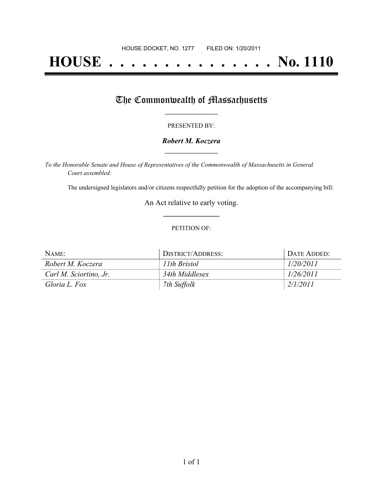# **HOUSE . . . . . . . . . . . . . . . No. 1110**

## The Commonwealth of Massachusetts

#### PRESENTED BY:

#### *Robert M. Koczera* **\_\_\_\_\_\_\_\_\_\_\_\_\_\_\_\_\_**

*To the Honorable Senate and House of Representatives of the Commonwealth of Massachusetts in General Court assembled:*

The undersigned legislators and/or citizens respectfully petition for the adoption of the accompanying bill:

An Act relative to early voting. **\_\_\_\_\_\_\_\_\_\_\_\_\_\_\_**

#### PETITION OF:

| NAME:                  | DISTRICT/ADDRESS: | DATE ADDED: |
|------------------------|-------------------|-------------|
| Robert M. Koczera      | 11th Bristol      | 1/20/2011   |
| Carl M. Sciortino, Jr. | 34th Middlesex    | 1/26/2011   |
| Gloria L. Fox          | 7th Suffolk       | 2/1/2011    |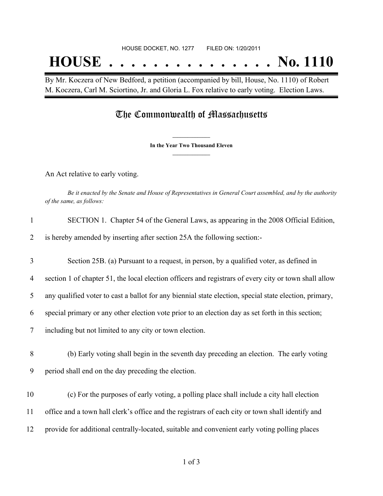# HOUSE DOCKET, NO. 1277 FILED ON: 1/20/2011 **HOUSE . . . . . . . . . . . . . . . No. 1110**

By Mr. Koczera of New Bedford, a petition (accompanied by bill, House, No. 1110) of Robert M. Koczera, Carl M. Sciortino, Jr. and Gloria L. Fox relative to early voting. Election Laws.

### The Commonwealth of Massachusetts

**\_\_\_\_\_\_\_\_\_\_\_\_\_\_\_ In the Year Two Thousand Eleven \_\_\_\_\_\_\_\_\_\_\_\_\_\_\_**

An Act relative to early voting.

Be it enacted by the Senate and House of Representatives in General Court assembled, and by the authority *of the same, as follows:*

| SECTION 1. Chapter 54 of the General Laws, as appearing in the 2008 Official Edition, |  |
|---------------------------------------------------------------------------------------|--|
|---------------------------------------------------------------------------------------|--|

2 is hereby amended by inserting after section 25A the following section:-

 Section 25B. (a) Pursuant to a request, in person, by a qualified voter, as defined in section 1 of chapter 51, the local election officers and registrars of every city or town shall allow any qualified voter to cast a ballot for any biennial state election, special state election, primary, special primary or any other election vote prior to an election day as set forth in this section;

7 including but not limited to any city or town election.

8 (b) Early voting shall begin in the seventh day preceding an election. The early voting 9 period shall end on the day preceding the election.

10 (c) For the purposes of early voting, a polling place shall include a city hall election 11 office and a town hall clerk's office and the registrars of each city or town shall identify and 12 provide for additional centrally-located, suitable and convenient early voting polling places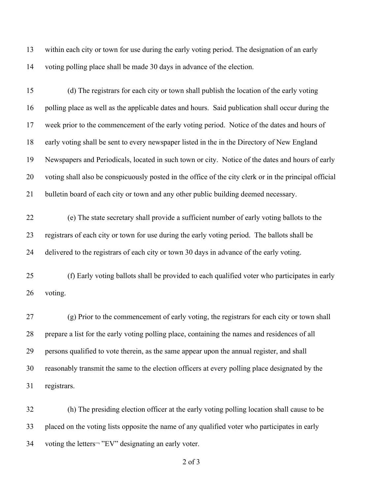within each city or town for use during the early voting period. The designation of an early voting polling place shall be made 30 days in advance of the election.

 (d) The registrars for each city or town shall publish the location of the early voting polling place as well as the applicable dates and hours. Said publication shall occur during the week prior to the commencement of the early voting period. Notice of the dates and hours of 18 early voting shall be sent to every newspaper listed in the in the Directory of New England Newspapers and Periodicals, located in such town or city. Notice of the dates and hours of early voting shall also be conspicuously posted in the office of the city clerk or in the principal official bulletin board of each city or town and any other public building deemed necessary.

 (e) The state secretary shall provide a sufficient number of early voting ballots to the registrars of each city or town for use during the early voting period. The ballots shall be delivered to the registrars of each city or town 30 days in advance of the early voting.

 (f) Early voting ballots shall be provided to each qualified voter who participates in early voting.

 (g) Prior to the commencement of early voting, the registrars for each city or town shall prepare a list for the early voting polling place, containing the names and residences of all persons qualified to vote therein, as the same appear upon the annual register, and shall reasonably transmit the same to the election officers at every polling place designated by the registrars.

 (h) The presiding election officer at the early voting polling location shall cause to be placed on the voting lists opposite the name of any qualified voter who participates in early 34 voting the letters<sup>-</sup> "EV" designating an early voter.

of 3